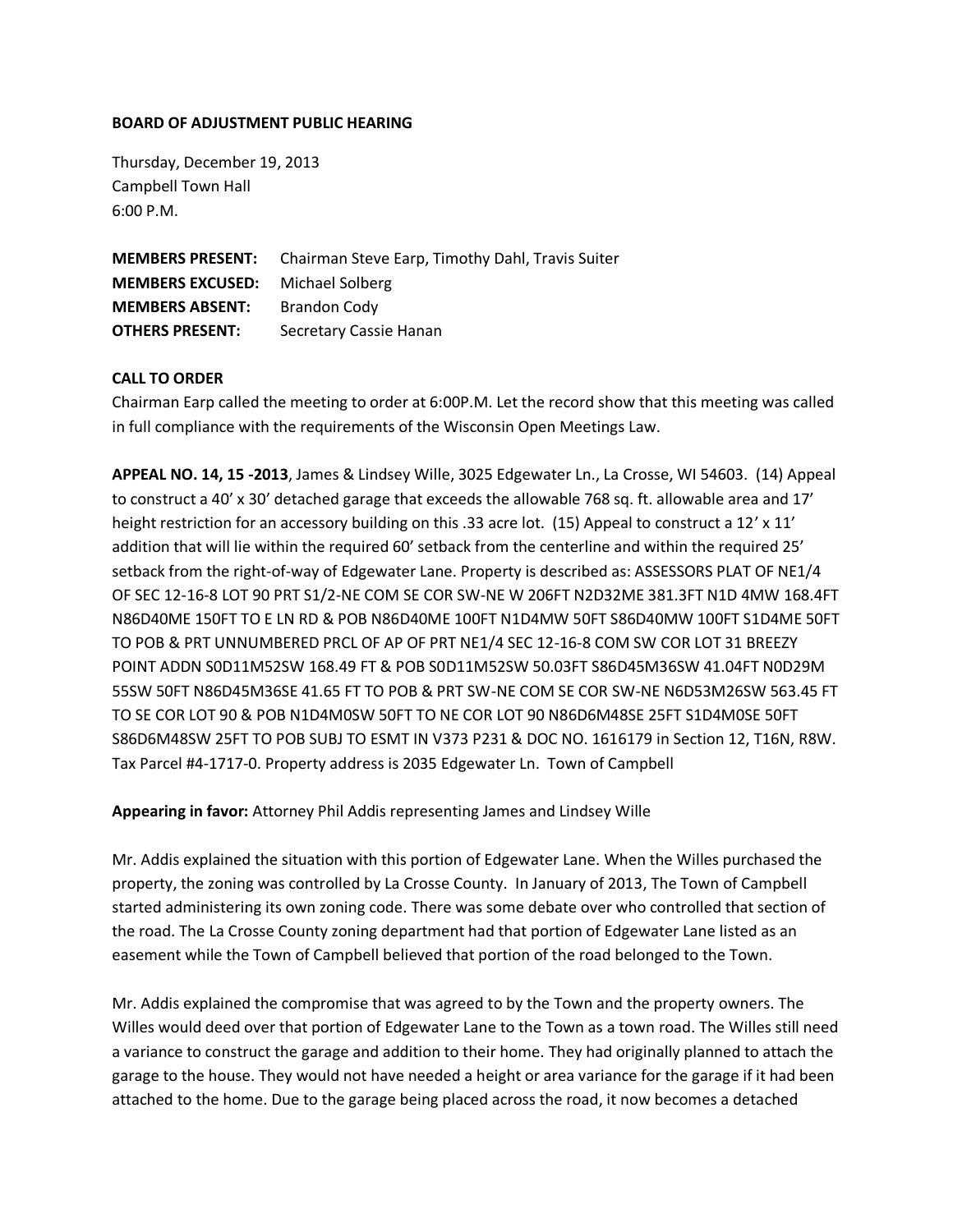#### **BOARD OF ADJUSTMENT PUBLIC HEARING**

Thursday, December 19, 2013 Campbell Town Hall 6:00 P.M.

|                                         | <b>MEMBERS PRESENT:</b> Chairman Steve Earp, Timothy Dahl, Travis Suiter |
|-----------------------------------------|--------------------------------------------------------------------------|
| <b>MEMBERS EXCUSED:</b> Michael Solberg |                                                                          |
| <b>MEMBERS ABSENT:</b>                  | <b>Brandon Codv</b>                                                      |
| <b>OTHERS PRESENT:</b>                  | Secretary Cassie Hanan                                                   |

#### **CALL TO ORDER**

Chairman Earp called the meeting to order at 6:00P.M. Let the record show that this meeting was called in full compliance with the requirements of the Wisconsin Open Meetings Law.

**APPEAL NO. 14, 15 -2013**, James & Lindsey Wille, 3025 Edgewater Ln., La Crosse, WI 54603. (14) Appeal to construct a 40' x 30' detached garage that exceeds the allowable 768 sq. ft. allowable area and 17' height restriction for an accessory building on this .33 acre lot. (15) Appeal to construct a 12' x 11' addition that will lie within the required 60' setback from the centerline and within the required 25' setback from the right-of-way of Edgewater Lane. Property is described as: ASSESSORS PLAT OF NE1/4 OF SEC 12-16-8 LOT 90 PRT S1/2-NE COM SE COR SW-NE W 206FT N2D32ME 381.3FT N1D 4MW 168.4FT N86D40ME 150FT TO E LN RD & POB N86D40ME 100FT N1D4MW 50FT S86D40MW 100FT S1D4ME 50FT TO POB & PRT UNNUMBERED PRCL OF AP OF PRT NE1/4 SEC 12-16-8 COM SW COR LOT 31 BREEZY POINT ADDN S0D11M52SW 168.49 FT & POB S0D11M52SW 50.03FT S86D45M36SW 41.04FT N0D29M 55SW 50FT N86D45M36SE 41.65 FT TO POB & PRT SW-NE COM SE COR SW-NE N6D53M26SW 563.45 FT TO SE COR LOT 90 & POB N1D4M0SW 50FT TO NE COR LOT 90 N86D6M48SE 25FT S1D4M0SE 50FT S86D6M48SW 25FT TO POB SUBJ TO ESMT IN V373 P231 & DOC NO. 1616179 in Section 12, T16N, R8W. Tax Parcel #4-1717-0. Property address is 2035 Edgewater Ln. Town of Campbell

#### **Appearing in favor:** Attorney Phil Addis representing James and Lindsey Wille

Mr. Addis explained the situation with this portion of Edgewater Lane. When the Willes purchased the property, the zoning was controlled by La Crosse County. In January of 2013, The Town of Campbell started administering its own zoning code. There was some debate over who controlled that section of the road. The La Crosse County zoning department had that portion of Edgewater Lane listed as an easement while the Town of Campbell believed that portion of the road belonged to the Town.

Mr. Addis explained the compromise that was agreed to by the Town and the property owners. The Willes would deed over that portion of Edgewater Lane to the Town as a town road. The Willes still need a variance to construct the garage and addition to their home. They had originally planned to attach the garage to the house. They would not have needed a height or area variance for the garage if it had been attached to the home. Due to the garage being placed across the road, it now becomes a detached